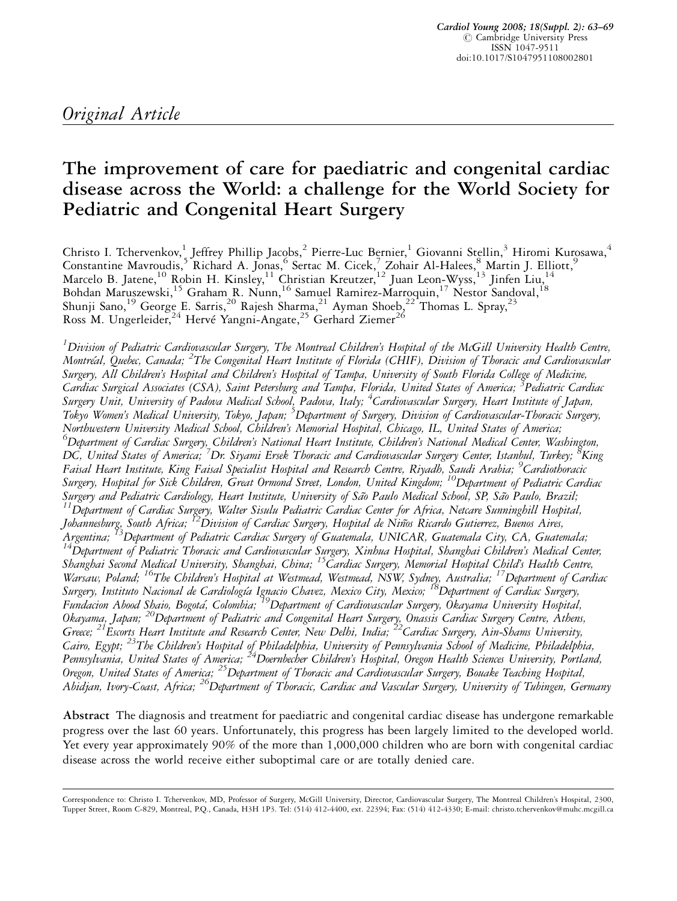# The improvement of care for paediatric and congenital cardiac disease across the World: a challenge for the World Society for Pediatric and Congenital Heart Surgery

Christo I. Tchervenkov, $^1$  Jeffrey Phillip Jacobs, $^2$  Pierre-Luc Bernier, $^1$  Giovanni Stellin, $^3$  Hiromi Kurosawa, $^4$ Constantine Mavroudis,<sup>5</sup> Richard A. Jonas,<sup>6</sup> Sertac M. Cicek,<sup>7</sup> Zohair Al-Halees,<sup>8</sup> Martin J. Elliott,<sup>9</sup> Marcelo B. Jatene,  $^{10}$  Robin H. Kinsley,  $^{11}$  Christian Kreutzer,  $^{12}$  Juan Leon-Wyss,  $^{13}$  Jinfen Liu,  $^{14}$ Bohdan Maruszewski,<sup>15</sup> Graham R. Nunn,<sup>16</sup> Samuel Ramirez-Marroquin,<sup>17</sup> Nestor Sandoval,<sup>18</sup> Shunji Sano,<sup>19</sup> George E. Sarris,<sup>20</sup> Rajesh Sharma,<sup>21</sup> Ayman Shoeb,<sup>22</sup> Thomas L. Spray,<sup>23</sup> Ross M. Ungerleider,<sup>24</sup> Hervé Yangni-Angate,<sup>25</sup> Gerhard Ziemer<sup>26</sup>

 $^1$ Division of Pediatric Cardiovascular Surgery, The Montreal Children's Hospital of the McGill University Health Centre, Montréal, Quebec, Canada; <sup>2</sup>The Congenital Heart Institute of Florida (CHIF), Division of Thoracic and Cardiovascular Surgery, All Children's Hospital and Children's Hospital of Tampa, University of South Florida College of Medicine, Cardiac Surgical Associates (CSA), Saint Petersburg and Tampa, Florida, United States of America; <sup>3</sup>Pediatric Cardiac Surgery Unit, University of Padova Medical School, Padova, Italy; <sup>4</sup>Cardiovascular Surgery, Heart Institute of Japan, Tokyo Women's Medical University, Tokyo, Japan; <sup>5</sup>Department of Surgery, Division of Cardiovascular-Thoracic Surgery, Northwestern University Medical School, Children's Memorial Hospital, Chicago, IL, United States of America; <sup>6</sup> Department of Cardiac Surgery, Children's National Heart Institute, Children's National Medical Center, Washington, DC, United States of America; <sup>7</sup>Dr. Siyami Ersek Thoracic and Cardiovascular Surgery Center, Istanbul, Turkey; <sup>8</sup>King Faisal Heart Institute, King Faisal Specialist Hospital and Research Centre, Riyadh, Saudi Arabia; <sup>9</sup>Cardiothoracic Surgery, Hospital for Sick Children, Great Ormond Street, London, United Kingdom; <sup>10</sup>Department of Pediatric Cardiac Surgery and Pediatric Cardiology, Heart Institute, University of São Paulo Medical School, SP, São Paulo, Brazil;  $^{11}$ Department of Cardiac Surgery, Walter Sisulu Pediatric Cardiac Center for Africa, Netcare Sunninghill Hospital, Johannesburg, South Africa;  $^{12}D$ ivision of Cardiac Surgery, Hospital de Niños Ricardo Gutierrez, Buenos Aires, ,<br>Argentina; <sup>Y3</sup>Department of Pediatric Cardiac Surgery of Guatemala, UNICAR, Guatemala City, CA, Guatemala;<br><sup>14</sup>Department of Pediatric Thoracic and Cardiovascular Surgery, Xinhua Hospital, Shanghai Children's Medical Ce <sup>14</sup>Department of Pediatric Thoracic and Cardiovascular Surgery, Xinhua Hospital, Shanghai Children's Medical Center,<br>Shanghai Second Medical University, Shanghai, China; <sup>15</sup>Cardiac Surgery, Memorial Hospital Child's Hea Warsaw, Poland; <sup>16</sup>The Children's Hospital at Westmead, Westmead, NSW, Sydney, Australia; <sup>17</sup>Department of Cardiac Surgery, Instituto Nacional de Cardiología Ignacio Chavez, Mexico City, Mexico; <sup>18</sup>Department of Cardiac Surgery, Fundacion Abood Shaio, Bogotá, Colombia; <sup>19</sup>Department of Cardiovascular Surgery, Okayama University Hospital, Okayama, Japan; 20Department of Pediatric and Congenital Heart Surgery, Onassis Cardiac Surgery Centre, Athens, Greece;  $^{21}$ Escorts Heart Institute and Research Center, New Delhi, India;  $^{22}$ Cardiac Surgery, Ain-Shams University, Cairo, Egypt; <sup>23</sup>The Children's Hospital of Philadelphia, University of Pennsylvania School of Medicine, Philadelphia, Pennsylvania, United States of America; <sup>24</sup>Doernbecher Children's Hospital, Oregon Health Sciences University, Portland, Oregon, United States of America; <sup>25</sup>Department of Thoracic and Cardiovascular Surgery, Bouake Teaching Hospital, Abidian, Ivory-Coast, Africa; <sup>26</sup>Department of Thoracic, Cardiac and Vascular Surgery, University of Tubingen, Germany

Abstract The diagnosis and treatment for paediatric and congenital cardiac disease has undergone remarkable progress over the last 60 years. Unfortunately, this progress has been largely limited to the developed world. Yet every year approximately 90% of the more than 1,000,000 children who are born with congenital cardiac disease across the world receive either suboptimal care or are totally denied care.

Correspondence to: Christo I. Tchervenkov, MD, Professor of Surgery, McGill University, Director, Cardiovascular Surgery, The Montreal Children's Hospital, 2300, Tupper Street, Room C-829, Montreal, P.Q., Canada, H3H 1P3. Tel: (514) 412-4400, ext. 22394; Fax: (514) 412-4330; E-mail: christo.tchervenkov@muhc.mcgill.ca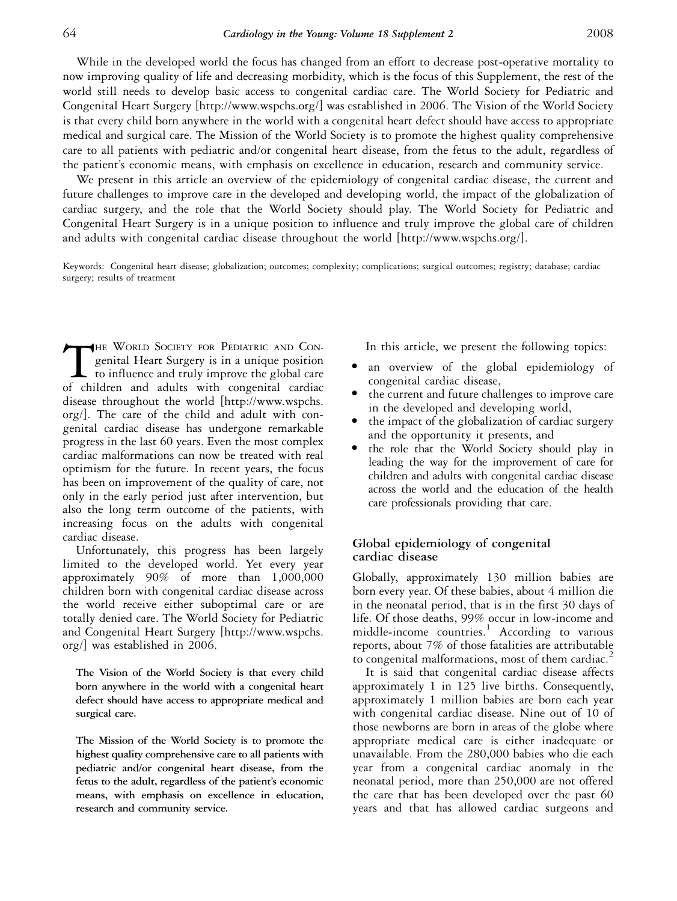While in the developed world the focus has changed from an effort to decrease post-operative mortality to now improving quality of life and decreasing morbidity, which is the focus of this Supplement, the rest of the world still needs to develop basic access to congenital cardiac care. The World Society for Pediatric and Congenital Heart Surgery [http://www.wspchs.org/] was established in 2006. The Vision of the World Society is that every child born anywhere in the world with a congenital heart defect should have access to appropriate medical and surgical care. The Mission of the World Society is to promote the highest quality comprehensive care to all patients with pediatric and/or congenital heart disease, from the fetus to the adult, regardless of the patient's economic means, with emphasis on excellence in education, research and community service.

We present in this article an overview of the epidemiology of congenital cardiac disease, the current and future challenges to improve care in the developed and developing world, the impact of the globalization of cardiac surgery, and the role that the World Society should play. The World Society for Pediatric and Congenital Heart Surgery is in a unique position to influence and truly improve the global care of children and adults with congenital cardiac disease throughout the world [http://www.wspchs.org/].

Keywords: Congenital heart disease; globalization; outcomes; complexity; complications; surgical outcomes; registry; database; cardiac surgery; results of treatment

THE WORLD SOCIETY FOR PEDIATRIC AND CONgenital Heart Surgery is in a unique position<br>to influence and truly improve the global care<br>of children and adults with congenital cardiac genital Heart Surgery is in a unique position to influence and truly improve the global care of children and adults with congenital cardiac disease throughout the world [http://www.wspchs. org/]. The care of the child and adult with congenital cardiac disease has undergone remarkable progress in the last 60 years. Even the most complex cardiac malformations can now be treated with real optimism for the future. In recent years, the focus has been on improvement of the quality of care, not only in the early period just after intervention, but also the long term outcome of the patients, with increasing focus on the adults with congenital cardiac disease.

Unfortunately, this progress has been largely limited to the developed world. Yet every year approximately 90% of more than 1,000,000 children born with congenital cardiac disease across the world receive either suboptimal care or are totally denied care. The World Society for Pediatric and Congenital Heart Surgery [http://www.wspchs. org/] was established in 2006.

The Vision of the World Society is that every child born anywhere in the world with a congenital heart defect should have access to appropriate medical and surgical care.

The Mission of the World Society is to promote the highest quality comprehensive care to all patients with pediatric and/or congenital heart disease, from the fetus to the adult, regardless of the patient's economic means, with emphasis on excellence in education, research and community service.

In this article, we present the following topics:

- <sup>&</sup>gt; an overview of the global epidemiology of congenital cardiac disease,
- <sup>&</sup>gt; the current and future challenges to improve care in the developed and developing world,
- the impact of the globalization of cardiac surgery and the opportunity it presents, and
- the role that the World Society should play in leading the way for the improvement of care for children and adults with congenital cardiac disease across the world and the education of the health care professionals providing that care.

## Global epidemiology of congenital cardiac disease

Globally, approximately 130 million babies are born every year. Of these babies, about 4 million die in the neonatal period, that is in the first 30 days of life. Of those deaths, 99% occur in low-income and middle-income countries.<sup>1</sup> According to various reports, about 7% of those fatalities are attributable to congenital malformations, most of them cardiac.<sup>2</sup>

It is said that congenital cardiac disease affects approximately 1 in 125 live births. Consequently, approximately 1 million babies are born each year with congenital cardiac disease. Nine out of 10 of those newborns are born in areas of the globe where appropriate medical care is either inadequate or unavailable. From the 280,000 babies who die each year from a congenital cardiac anomaly in the neonatal period, more than 250,000 are not offered the care that has been developed over the past 60 years and that has allowed cardiac surgeons and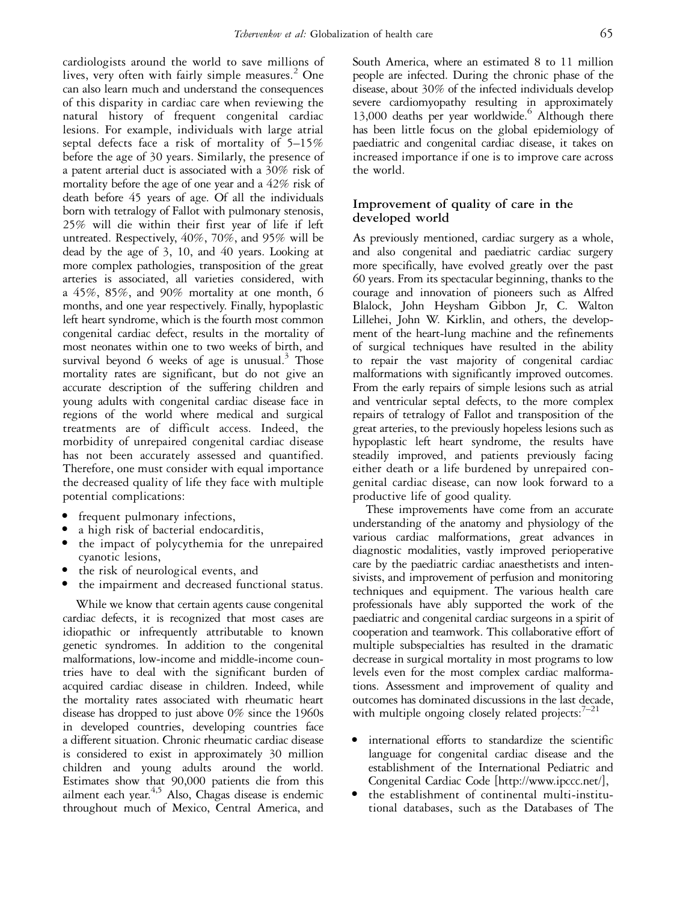cardiologists around the world to save millions of lives, very often with fairly simple measures. $2$  One can also learn much and understand the consequences of this disparity in cardiac care when reviewing the natural history of frequent congenital cardiac lesions. For example, individuals with large atrial septal defects face a risk of mortality of 5–15% before the age of 30 years. Similarly, the presence of a patent arterial duct is associated with a 30% risk of mortality before the age of one year and a 42% risk of death before 45 years of age. Of all the individuals born with tetralogy of Fallot with pulmonary stenosis, 25% will die within their first year of life if left untreated. Respectively, 40%, 70%, and 95% will be dead by the age of 3, 10, and 40 years. Looking at more complex pathologies, transposition of the great arteries is associated, all varieties considered, with a 45%, 85%, and 90% mortality at one month, 6 months, and one year respectively. Finally, hypoplastic left heart syndrome, which is the fourth most common congenital cardiac defect, results in the mortality of most neonates within one to two weeks of birth, and survival beyond 6 weeks of age is unusual.<sup>3</sup> Those mortality rates are significant, but do not give an accurate description of the suffering children and young adults with congenital cardiac disease face in regions of the world where medical and surgical treatments are of difficult access. Indeed, the morbidity of unrepaired congenital cardiac disease has not been accurately assessed and quantified. Therefore, one must consider with equal importance the decreased quality of life they face with multiple potential complications:

- frequent pulmonary infections,
- a high risk of bacterial endocarditis,
- the impact of polycythemia for the unrepaired cyanotic lesions,
- the risk of neurological events, and
- the impairment and decreased functional status.

While we know that certain agents cause congenital cardiac defects, it is recognized that most cases are idiopathic or infrequently attributable to known genetic syndromes. In addition to the congenital malformations, low-income and middle-income countries have to deal with the significant burden of acquired cardiac disease in children. Indeed, while the mortality rates associated with rheumatic heart disease has dropped to just above 0% since the 1960s in developed countries, developing countries face a different situation. Chronic rheumatic cardiac disease is considered to exist in approximately 30 million children and young adults around the world. Estimates show that 90,000 patients die from this ailment each year. $4,5$  Also, Chagas disease is endemic throughout much of Mexico, Central America, and

South America, where an estimated 8 to 11 million people are infected. During the chronic phase of the disease, about 30% of the infected individuals develop severe cardiomyopathy resulting in approximately 13,000 deaths per year worldwide. $6$  Although there has been little focus on the global epidemiology of paediatric and congenital cardiac disease, it takes on increased importance if one is to improve care across the world.

## Improvement of quality of care in the developed world

As previously mentioned, cardiac surgery as a whole, and also congenital and paediatric cardiac surgery more specifically, have evolved greatly over the past 60 years. From its spectacular beginning, thanks to the courage and innovation of pioneers such as Alfred Blalock, John Heysham Gibbon Jr, C. Walton Lillehei, John W. Kirklin, and others, the development of the heart-lung machine and the refinements of surgical techniques have resulted in the ability to repair the vast majority of congenital cardiac malformations with significantly improved outcomes. From the early repairs of simple lesions such as atrial and ventricular septal defects, to the more complex repairs of tetralogy of Fallot and transposition of the great arteries, to the previously hopeless lesions such as hypoplastic left heart syndrome, the results have steadily improved, and patients previously facing either death or a life burdened by unrepaired congenital cardiac disease, can now look forward to a productive life of good quality.

These improvements have come from an accurate understanding of the anatomy and physiology of the various cardiac malformations, great advances in diagnostic modalities, vastly improved perioperative care by the paediatric cardiac anaesthetists and intensivists, and improvement of perfusion and monitoring techniques and equipment. The various health care professionals have ably supported the work of the paediatric and congenital cardiac surgeons in a spirit of cooperation and teamwork. This collaborative effort of multiple subspecialties has resulted in the dramatic decrease in surgical mortality in most programs to low levels even for the most complex cardiac malformations. Assessment and improvement of quality and outcomes has dominated discussions in the last decade, with multiple ongoing closely related projects: $7-21$ 

- <sup>&</sup>gt; international efforts to standardize the scientific language for congenital cardiac disease and the establishment of the International Pediatric and Congenital Cardiac Code [http://www.ipccc.net/],
- the establishment of continental multi-institutional databases, such as the Databases of The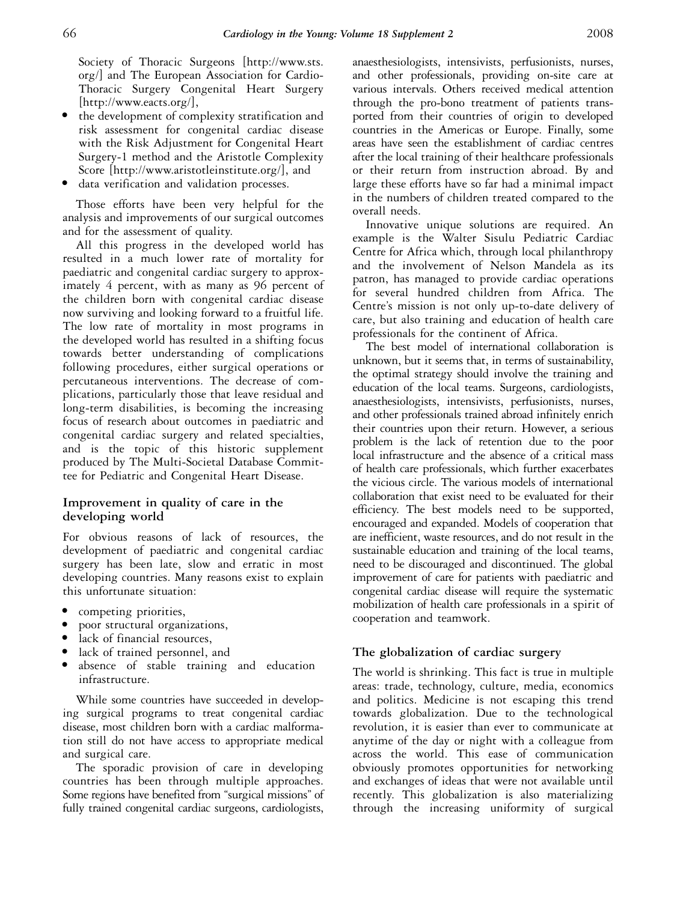Society of Thoracic Surgeons [http://www.sts. org/] and The European Association for Cardio-Thoracic Surgery Congenital Heart Surgery [http://www.eacts.org/],

- <sup>&</sup>gt; the development of complexity stratification and risk assessment for congenital cardiac disease with the Risk Adjustment for Congenital Heart Surgery-1 method and the Aristotle Complexity Score [http://www.aristotleinstitute.org/], and
- data verification and validation processes.

Those efforts have been very helpful for the analysis and improvements of our surgical outcomes and for the assessment of quality.

All this progress in the developed world has resulted in a much lower rate of mortality for paediatric and congenital cardiac surgery to approximately 4 percent, with as many as 96 percent of the children born with congenital cardiac disease now surviving and looking forward to a fruitful life. The low rate of mortality in most programs in the developed world has resulted in a shifting focus towards better understanding of complications following procedures, either surgical operations or percutaneous interventions. The decrease of complications, particularly those that leave residual and long-term disabilities, is becoming the increasing focus of research about outcomes in paediatric and congenital cardiac surgery and related specialties, and is the topic of this historic supplement produced by The Multi-Societal Database Committee for Pediatric and Congenital Heart Disease.

## Improvement in quality of care in the developing world

For obvious reasons of lack of resources, the development of paediatric and congenital cardiac surgery has been late, slow and erratic in most developing countries. Many reasons exist to explain this unfortunate situation:

- competing priorities,
- poor structural organizations,
- lack of financial resources,
- lack of trained personnel, and
- absence of stable training and education infrastructure.

While some countries have succeeded in developing surgical programs to treat congenital cardiac disease, most children born with a cardiac malformation still do not have access to appropriate medical and surgical care.

The sporadic provision of care in developing countries has been through multiple approaches. Some regions have benefited from ''surgical missions'' of fully trained congenital cardiac surgeons, cardiologists,

anaesthesiologists, intensivists, perfusionists, nurses, and other professionals, providing on-site care at various intervals. Others received medical attention through the pro-bono treatment of patients transported from their countries of origin to developed countries in the Americas or Europe. Finally, some areas have seen the establishment of cardiac centres after the local training of their healthcare professionals or their return from instruction abroad. By and large these efforts have so far had a minimal impact in the numbers of children treated compared to the overall needs.

Innovative unique solutions are required. An example is the Walter Sisulu Pediatric Cardiac Centre for Africa which, through local philanthropy and the involvement of Nelson Mandela as its patron, has managed to provide cardiac operations for several hundred children from Africa. The Centre's mission is not only up-to-date delivery of care, but also training and education of health care professionals for the continent of Africa.

The best model of international collaboration is unknown, but it seems that, in terms of sustainability, the optimal strategy should involve the training and education of the local teams. Surgeons, cardiologists, anaesthesiologists, intensivists, perfusionists, nurses, and other professionals trained abroad infinitely enrich their countries upon their return. However, a serious problem is the lack of retention due to the poor local infrastructure and the absence of a critical mass of health care professionals, which further exacerbates the vicious circle. The various models of international collaboration that exist need to be evaluated for their efficiency. The best models need to be supported, encouraged and expanded. Models of cooperation that are inefficient, waste resources, and do not result in the sustainable education and training of the local teams, need to be discouraged and discontinued. The global improvement of care for patients with paediatric and congenital cardiac disease will require the systematic mobilization of health care professionals in a spirit of cooperation and teamwork.

## The globalization of cardiac surgery

The world is shrinking. This fact is true in multiple areas: trade, technology, culture, media, economics and politics. Medicine is not escaping this trend towards globalization. Due to the technological revolution, it is easier than ever to communicate at anytime of the day or night with a colleague from across the world. This ease of communication obviously promotes opportunities for networking and exchanges of ideas that were not available until recently. This globalization is also materializing through the increasing uniformity of surgical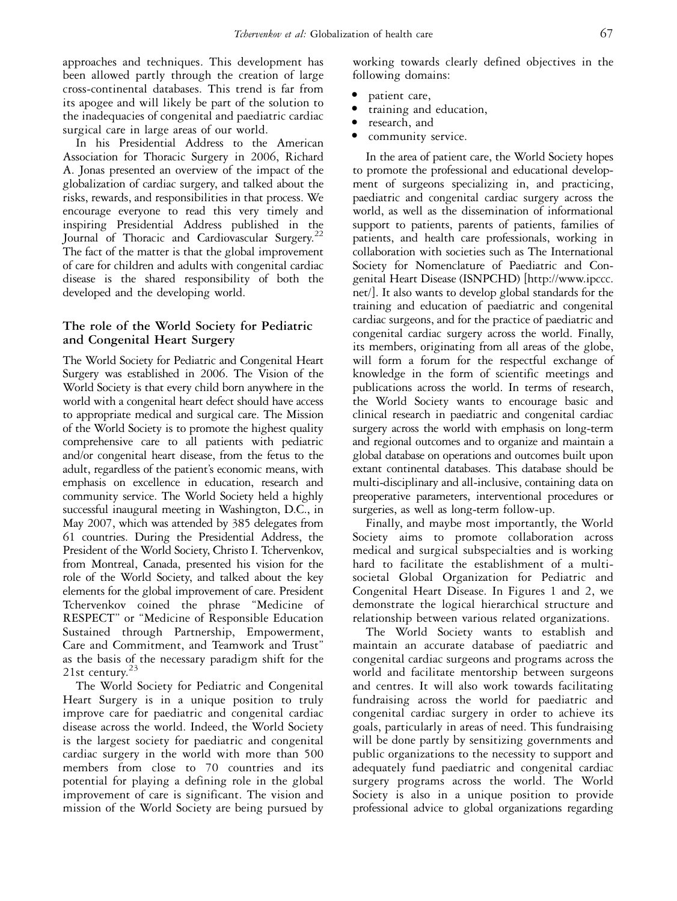approaches and techniques. This development has been allowed partly through the creation of large cross-continental databases. This trend is far from its apogee and will likely be part of the solution to the inadequacies of congenital and paediatric cardiac surgical care in large areas of our world.

In his Presidential Address to the American Association for Thoracic Surgery in 2006, Richard A. Jonas presented an overview of the impact of the globalization of cardiac surgery, and talked about the risks, rewards, and responsibilities in that process. We encourage everyone to read this very timely and inspiring Presidential Address published in the Journal of Thoracic and Cardiovascular Surgery.<sup>22</sup> The fact of the matter is that the global improvement of care for children and adults with congenital cardiac disease is the shared responsibility of both the developed and the developing world.

## The role of the World Society for Pediatric and Congenital Heart Surgery

The World Society for Pediatric and Congenital Heart Surgery was established in 2006. The Vision of the World Society is that every child born anywhere in the world with a congenital heart defect should have access to appropriate medical and surgical care. The Mission of the World Society is to promote the highest quality comprehensive care to all patients with pediatric and/or congenital heart disease, from the fetus to the adult, regardless of the patient's economic means, with emphasis on excellence in education, research and community service. The World Society held a highly successful inaugural meeting in Washington, D.C., in May 2007, which was attended by 385 delegates from 61 countries. During the Presidential Address, the President of the World Society, Christo I. Tchervenkov, from Montreal, Canada, presented his vision for the role of the World Society, and talked about the key elements for the global improvement of care. President Tchervenkov coined the phrase ''Medicine of RESPECT'' or ''Medicine of Responsible Education Sustained through Partnership, Empowerment, Care and Commitment, and Teamwork and Trust'' as the basis of the necessary paradigm shift for the 21st century.<sup>23</sup>

The World Society for Pediatric and Congenital Heart Surgery is in a unique position to truly improve care for paediatric and congenital cardiac disease across the world. Indeed, the World Society is the largest society for paediatric and congenital cardiac surgery in the world with more than 500 members from close to 70 countries and its potential for playing a defining role in the global improvement of care is significant. The vision and mission of the World Society are being pursued by working towards clearly defined objectives in the following domains:

- patient care,
- training and education,
- research, and
- community service.

In the area of patient care, the World Society hopes to promote the professional and educational development of surgeons specializing in, and practicing, paediatric and congenital cardiac surgery across the world, as well as the dissemination of informational support to patients, parents of patients, families of patients, and health care professionals, working in collaboration with societies such as The International Society for Nomenclature of Paediatric and Congenital Heart Disease (ISNPCHD) [http://www.ipccc. net/]. It also wants to develop global standards for the training and education of paediatric and congenital cardiac surgeons, and for the practice of paediatric and congenital cardiac surgery across the world. Finally, its members, originating from all areas of the globe, will form a forum for the respectful exchange of knowledge in the form of scientific meetings and publications across the world. In terms of research, the World Society wants to encourage basic and clinical research in paediatric and congenital cardiac surgery across the world with emphasis on long-term and regional outcomes and to organize and maintain a global database on operations and outcomes built upon extant continental databases. This database should be multi-disciplinary and all-inclusive, containing data on preoperative parameters, interventional procedures or surgeries, as well as long-term follow-up.

Finally, and maybe most importantly, the World Society aims to promote collaboration across medical and surgical subspecialties and is working hard to facilitate the establishment of a multisocietal Global Organization for Pediatric and Congenital Heart Disease. In Figures 1 and 2, we demonstrate the logical hierarchical structure and relationship between various related organizations.

The World Society wants to establish and maintain an accurate database of paediatric and congenital cardiac surgeons and programs across the world and facilitate mentorship between surgeons and centres. It will also work towards facilitating fundraising across the world for paediatric and congenital cardiac surgery in order to achieve its goals, particularly in areas of need. This fundraising will be done partly by sensitizing governments and public organizations to the necessity to support and adequately fund paediatric and congenital cardiac surgery programs across the world. The World Society is also in a unique position to provide professional advice to global organizations regarding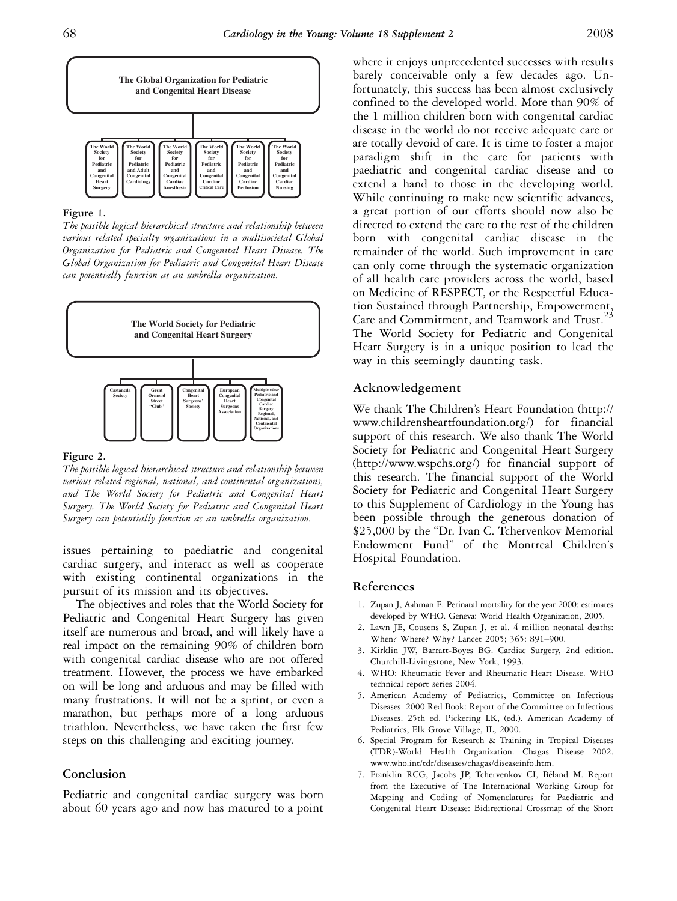

#### Figure 1.

The possible logical hierarchical structure and relationship between various related specialty organizations in a multisocietal Global Organization for Pediatric and Congenital Heart Disease. The Global Organization for Pediatric and Congenital Heart Disease can potentially function as an umbrella organization.



#### Figure 2.

The possible logical hierarchical structure and relationship between various related regional, national, and continental organizations, and The World Society for Pediatric and Congenital Heart Surgery. The World Society for Pediatric and Congenital Heart Surgery can potentially function as an umbrella organization.

issues pertaining to paediatric and congenital cardiac surgery, and interact as well as cooperate with existing continental organizations in the pursuit of its mission and its objectives.

The objectives and roles that the World Society for Pediatric and Congenital Heart Surgery has given itself are numerous and broad, and will likely have a real impact on the remaining 90% of children born with congenital cardiac disease who are not offered treatment. However, the process we have embarked on will be long and arduous and may be filled with many frustrations. It will not be a sprint, or even a marathon, but perhaps more of a long arduous triathlon. Nevertheless, we have taken the first few steps on this challenging and exciting journey.

## Conclusion

Pediatric and congenital cardiac surgery was born about 60 years ago and now has matured to a point

where it enjoys unprecedented successes with results barely conceivable only a few decades ago. Unfortunately, this success has been almost exclusively confined to the developed world. More than 90% of the 1 million children born with congenital cardiac disease in the world do not receive adequate care or are totally devoid of care. It is time to foster a major paradigm shift in the care for patients with paediatric and congenital cardiac disease and to extend a hand to those in the developing world. While continuing to make new scientific advances, a great portion of our efforts should now also be directed to extend the care to the rest of the children born with congenital cardiac disease in the remainder of the world. Such improvement in care can only come through the systematic organization of all health care providers across the world, based on Medicine of RESPECT, or the Respectful Education Sustained through Partnership, Empowerment, Care and Commitment, and Teamwork and Trust.<sup>23</sup> The World Society for Pediatric and Congenital Heart Surgery is in a unique position to lead the way in this seemingly daunting task.

## Acknowledgement

We thank The Children's Heart Foundation (http:// www.childrensheartfoundation.org/) for financial support of this research. We also thank The World Society for Pediatric and Congenital Heart Surgery (http://www.wspchs.org/) for financial support of this research. The financial support of the World Society for Pediatric and Congenital Heart Surgery to this Supplement of Cardiology in the Young has been possible through the generous donation of \$25,000 by the "Dr. Ivan C. Tchervenkov Memorial Endowment Fund'' of the Montreal Children's Hospital Foundation.

### References

- 1. Zupan J, Aahman E. Perinatal mortality for the year 2000: estimates developed by WHO. Geneva: World Health Organization, 2005.
- 2. Lawn JE, Cousens S, Zupan J, et al. 4 million neonatal deaths: When? Where? Why? Lancet 2005; 365: 891–900.
- 3. Kirklin JW, Barratt-Boyes BG. Cardiac Surgery, 2nd edition. Churchill-Livingstone, New York, 1993.
- 4. WHO: Rheumatic Fever and Rheumatic Heart Disease. WHO technical report series 2004.
- 5. American Academy of Pediatrics, Committee on Infectious Diseases. 2000 Red Book: Report of the Committee on Infectious Diseases. 25th ed. Pickering LK, (ed.). American Academy of Pediatrics, Elk Grove Village, IL, 2000.
- 6. Special Program for Research & Training in Tropical Diseases (TDR)-World Health Organization. Chagas Disease 2002. www.who.int/tdr/diseases/chagas/diseaseinfo.htm.
- 7. Franklin RCG, Jacobs JP, Tchervenkov CI, Béland M. Report from the Executive of The International Working Group for Mapping and Coding of Nomenclatures for Paediatric and Congenital Heart Disease: Bidirectional Crossmap of the Short